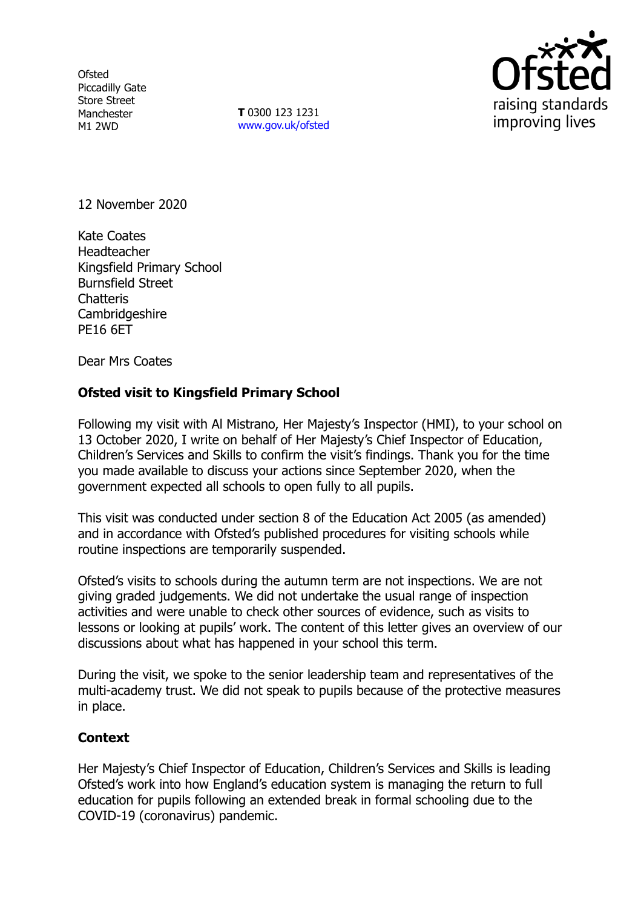**Ofsted** Piccadilly Gate Store Street Manchester M1 2WD

**T** 0300 123 1231 [www.gov.uk/ofsted](http://www.gov.uk/ofsted)



12 November 2020

Kate Coates Headteacher Kingsfield Primary School Burnsfield Street **Chatteris** Cambridgeshire PE16 6ET

Dear Mrs Coates

## **Ofsted visit to Kingsfield Primary School**

Following my visit with Al Mistrano, Her Majesty's Inspector (HMI), to your school on 13 October 2020, I write on behalf of Her Majesty's Chief Inspector of Education, Children's Services and Skills to confirm the visit's findings. Thank you for the time you made available to discuss your actions since September 2020, when the government expected all schools to open fully to all pupils.

This visit was conducted under section 8 of the Education Act 2005 (as amended) and in accordance with Ofsted's published procedures for visiting schools while routine inspections are temporarily suspended.

Ofsted's visits to schools during the autumn term are not inspections. We are not giving graded judgements. We did not undertake the usual range of inspection activities and were unable to check other sources of evidence, such as visits to lessons or looking at pupils' work. The content of this letter gives an overview of our discussions about what has happened in your school this term.

During the visit, we spoke to the senior leadership team and representatives of the multi-academy trust. We did not speak to pupils because of the protective measures in place.

## **Context**

Her Majesty's Chief Inspector of Education, Children's Services and Skills is leading Ofsted's work into how England's education system is managing the return to full education for pupils following an extended break in formal schooling due to the COVID-19 (coronavirus) pandemic.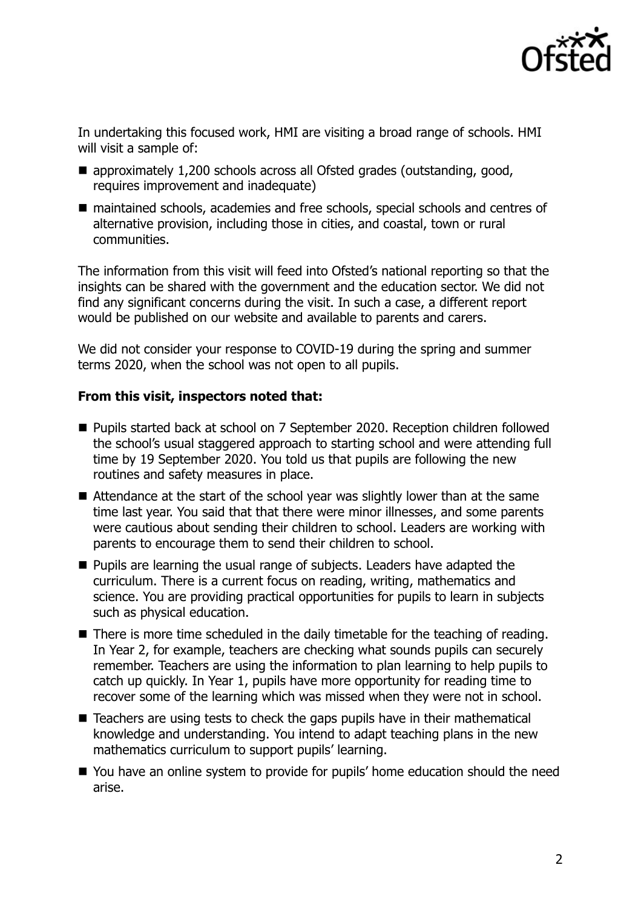

In undertaking this focused work, HMI are visiting a broad range of schools. HMI will visit a sample of:

- approximately 1,200 schools across all Ofsted grades (outstanding, good, requires improvement and inadequate)
- maintained schools, academies and free schools, special schools and centres of alternative provision, including those in cities, and coastal, town or rural communities.

The information from this visit will feed into Ofsted's national reporting so that the insights can be shared with the government and the education sector. We did not find any significant concerns during the visit. In such a case, a different report would be published on our website and available to parents and carers.

We did not consider your response to COVID-19 during the spring and summer terms 2020, when the school was not open to all pupils.

## **From this visit, inspectors noted that:**

- Pupils started back at school on 7 September 2020. Reception children followed the school's usual staggered approach to starting school and were attending full time by 19 September 2020. You told us that pupils are following the new routines and safety measures in place.
- Attendance at the start of the school year was slightly lower than at the same time last year. You said that that there were minor illnesses, and some parents were cautious about sending their children to school. Leaders are working with parents to encourage them to send their children to school.
- **Pupils are learning the usual range of subjects. Leaders have adapted the** curriculum. There is a current focus on reading, writing, mathematics and science. You are providing practical opportunities for pupils to learn in subjects such as physical education.
- There is more time scheduled in the daily timetable for the teaching of reading. In Year 2, for example, teachers are checking what sounds pupils can securely remember. Teachers are using the information to plan learning to help pupils to catch up quickly. In Year 1, pupils have more opportunity for reading time to recover some of the learning which was missed when they were not in school.
- Teachers are using tests to check the gaps pupils have in their mathematical knowledge and understanding. You intend to adapt teaching plans in the new mathematics curriculum to support pupils' learning.
- You have an online system to provide for pupils' home education should the need arise.